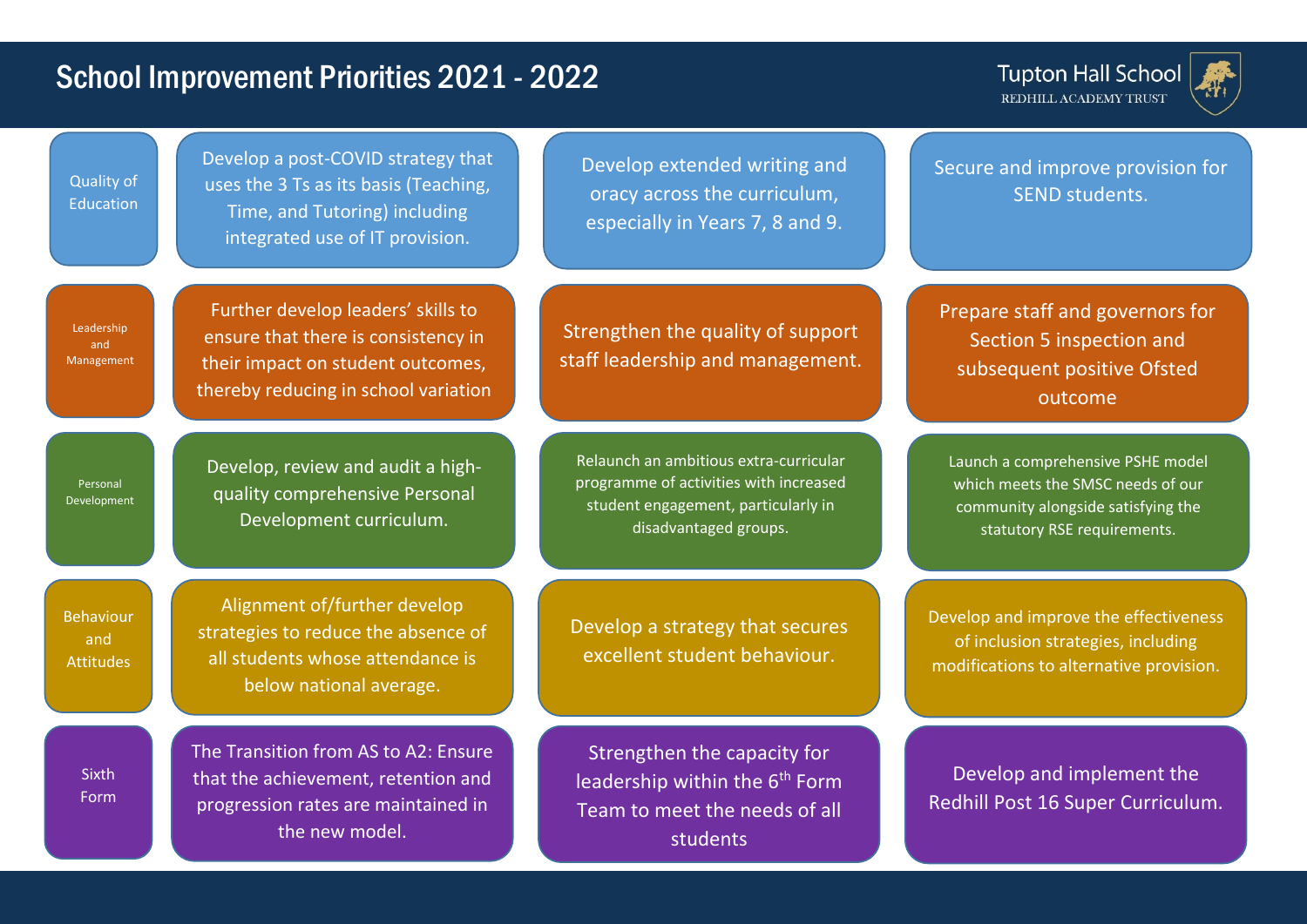## School Improvement Priorities 2021 - 2022

**Tupton Hall School** REDHILL ACADEMY TRUST



Develop a post-COVID strategy that uses the 3 Ts as its basis (Teaching, Time, and Tutoring) including integrated use of IT provision. Develop extended writing and oracy across the curriculum, especially in Years 7, 8 and 9. Secure and improve provision for SEND students. Quality of Education Alignment of/further develop strategies to reduce the absence of all students whose attendance is below national average. Develop a strategy that secures excellent student behaviour. Develop and improve the effectiveness of inclusion strategies, including modifications to alternative provision. Behaviour and **Attitudes** Develop, review and audit a highquality comprehensive Personal Development curriculum. Relaunch an ambitious extra-curricular programme of activities with increased student engagement, particularly in disadvantaged groups. Personal Development The Transition from AS to A2: Ensure that the achievement, retention and progression rates are maintained in the new model. Strengthen the capacity for leadership within the  $6<sup>th</sup>$  Form Team to meet the needs of all students Develop and implement the Redhill Post 16 Super Curriculum. **Sixth** Form Further develop leaders' skills to ensure that there is consistency in their impact on student outcomes, thereby reducing in school variation Strengthen the quality of support staff leadership and management. Prepare staff and governors for Section 5 inspection and subsequent positive Ofsted outcome Leadership and Management Launch a comprehensive PSHE model which meets the SMSC needs of our community alongside satisfying the statutory RSE requirements.